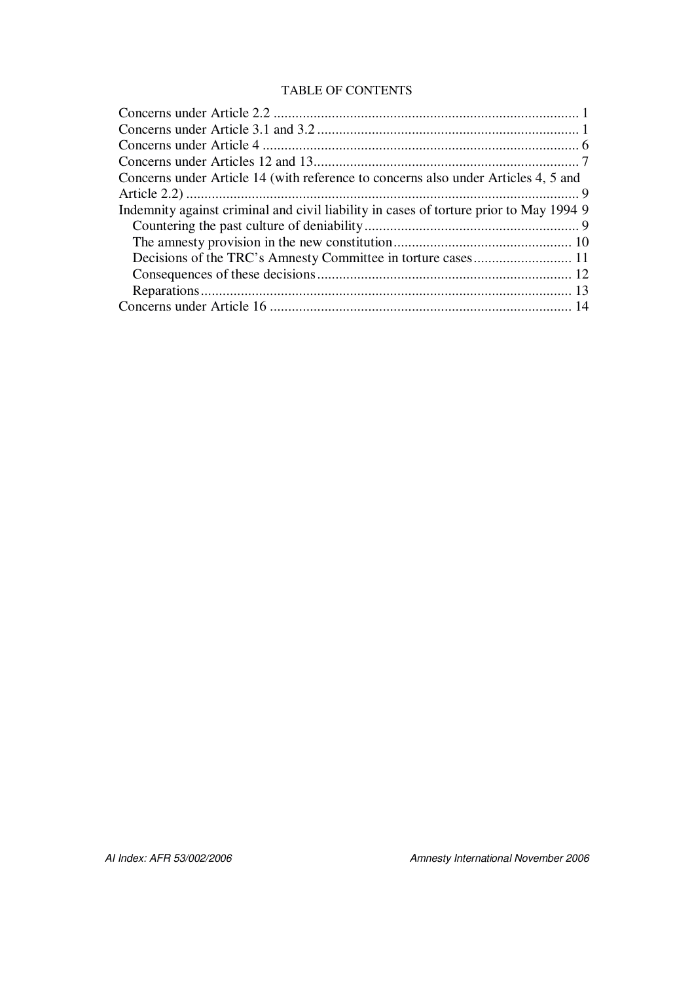### TABLE OF CONTENTS

| Concerns under Article 14 (with reference to concerns also under Articles 4, 5 and     |
|----------------------------------------------------------------------------------------|
|                                                                                        |
| Indemnity against criminal and civil liability in cases of torture prior to May 1994 9 |
|                                                                                        |
|                                                                                        |
|                                                                                        |
|                                                                                        |
|                                                                                        |
|                                                                                        |
|                                                                                        |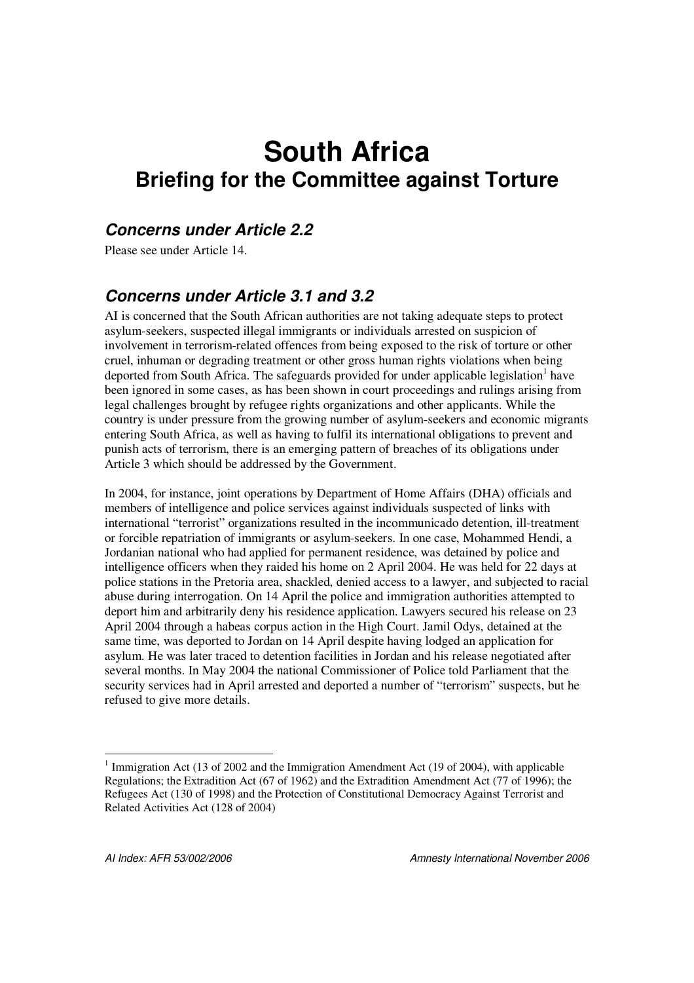# **South Africa Briefing for the Committee against Torture**

## *Concerns under Article 2.2*

Please see under Article 14.

# *Concerns under Article 3.1 and 3.2*

AI is concerned that the South African authorities are not taking adequate steps to protect asylum-seekers, suspected illegal immigrants or individuals arrested on suspicion of involvement in terrorism-related offences from being exposed to the risk of torture or other cruel, inhuman or degrading treatment or other gross human rights violations when being deported from South Africa. The safeguards provided for under applicable legislation<sup>1</sup> have been ignored in some cases, as has been shown in court proceedings and rulings arising from legal challenges brought by refugee rights organizations and other applicants. While the country is under pressure from the growing number of asylum-seekers and economic migrants entering South Africa, as well as having to fulfil its international obligations to prevent and punish acts of terrorism, there is an emerging pattern of breaches of its obligations under Article 3 which should be addressed by the Government.

In 2004, for instance, joint operations by Department of Home Affairs (DHA) officials and members of intelligence and police services against individuals suspected of links with international "terrorist" organizations resulted in the incommunicado detention, ill-treatment or forcible repatriation of immigrants or asylum-seekers. In one case, Mohammed Hendi, a Jordanian national who had applied for permanent residence, was detained by police and intelligence officers when they raided his home on 2 April 2004. He was held for 22 days at police stations in the Pretoria area, shackled, denied access to a lawyer, and subjected to racial abuse during interrogation. On 14 April the police and immigration authorities attempted to deport him and arbitrarily deny his residence application. Lawyers secured his release on 23 April 2004 through a habeas corpus action in the High Court. Jamil Odys, detained at the same time, was deported to Jordan on 14 April despite having lodged an application for asylum. He was later traced to detention facilities in Jordan and his release negotiated after several months. In May 2004 the national Commissioner of Police told Parliament that the security services had in April arrested and deported a number of "terrorism" suspects, but he refused to give more details.

<sup>&</sup>lt;sup>1</sup> Immigration Act (13 of 2002 and the Immigration Amendment Act (19 of 2004), with applicable Regulations; the Extradition Act (67 of 1962) and the Extradition Amendment Act (77 of 1996); the Refugees Act (130 of 1998) and the Protection of Constitutional Democracy Against Terrorist and Related Activities Act (128 of 2004)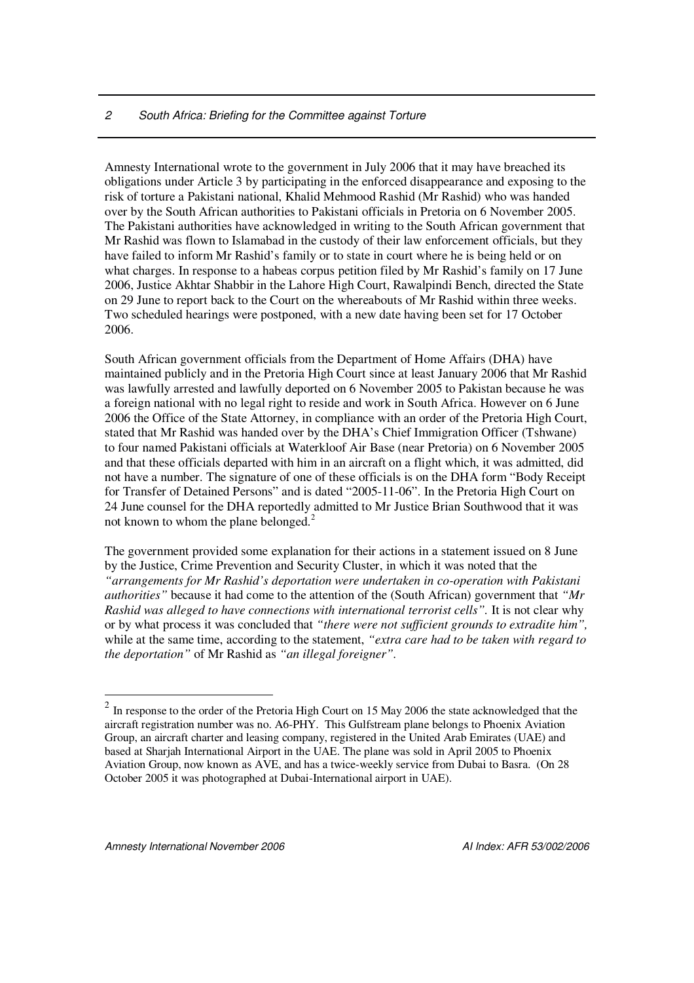#### *2 South Africa: Briefing for the Committee against Torture*

Amnesty International wrote to the government in July 2006 that it may have breached its obligations under Article 3 by participating in the enforced disappearance and exposing to the risk of torture a Pakistani national, Khalid Mehmood Rashid (Mr Rashid) who was handed over by the South African authorities to Pakistani officials in Pretoria on 6 November 2005. The Pakistani authorities have acknowledged in writing to the South African government that Mr Rashid was flown to Islamabad in the custody of their law enforcement officials, but they have failed to inform Mr Rashid's family or to state in court where he is being held or on what charges. In response to a habeas corpus petition filed by Mr Rashid's family on 17 June 2006, Justice Akhtar Shabbir in the Lahore High Court, Rawalpindi Bench, directed the State on 29 June to report back to the Court on the whereabouts of Mr Rashid within three weeks. Two scheduled hearings were postponed, with a new date having been set for 17 October 2006.

South African government officials from the Department of Home Affairs (DHA) have maintained publicly and in the Pretoria High Court since at least January 2006 that Mr Rashid was lawfully arrested and lawfully deported on 6 November 2005 to Pakistan because he was a foreign national with no legal right to reside and work in South Africa. However on 6 June 2006 the Office of the State Attorney, in compliance with an order of the Pretoria High Court, stated that Mr Rashid was handed over by the DHA's Chief Immigration Officer (Tshwane) to four named Pakistani officials at Waterkloof Air Base (near Pretoria) on 6 November 2005 and that these officials departed with him in an aircraft on a flight which, it was admitted, did not have a number. The signature of one of these officials is on the DHA form "Body Receipt for Transfer of Detained Persons" and is dated "2005-11-06". In the Pretoria High Court on 24 June counsel for the DHA reportedly admitted to Mr Justice Brian Southwood that it was not known to whom the plane belonged.<sup>2</sup>

The government provided some explanation for their actions in a statement issued on 8 June by the Justice, Crime Prevention and Security Cluster, in which it was noted that the *"arrangements for Mr Rashid's deportation were undertaken in co-operation with Pakistani authorities"* because it had come to the attention of the (South African) government that *"Mr Rashid was alleged to have connections with international terrorist cells".* It is not clear why or by what process it was concluded that *"there were not sufficient grounds to extradite him",* while at the same time, according to the statement, *"extra care had to be taken with regard to the deportation"* of Mr Rashid as *"an illegal foreigner".*

 $2 \text{ In response to the order of the Pretoria High Court on 15 May 2006 the state acknowledged that the}$ aircraft registration number was no. A6-PHY. This Gulfstream plane belongs to Phoenix Aviation Group, an aircraft charter and leasing company, registered in the United Arab Emirates (UAE) and based at Sharjah International Airport in the UAE. The plane was sold in April 2005 to Phoenix Aviation Group, now known as AVE, and has a twice-weekly service from Dubai to Basra. (On 28 October 2005 it was photographed at Dubai-International airport in UAE).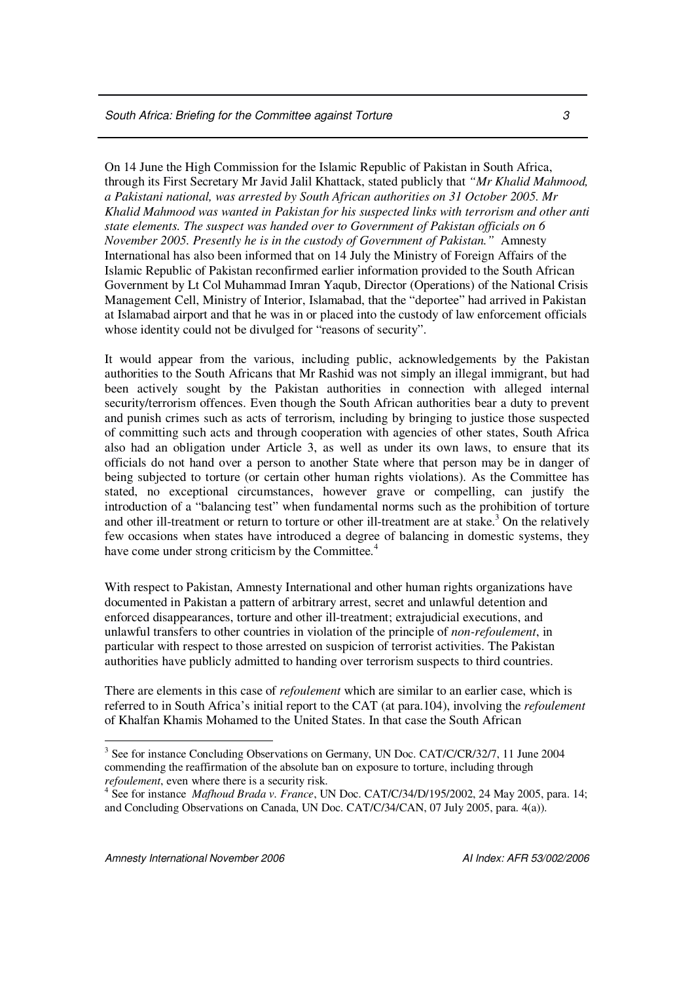On 14 June the High Commission for the Islamic Republic of Pakistan in South Africa, through its First Secretary Mr Javid Jalil Khattack, stated publicly that *"Mr Khalid Mahmood, a Pakistani national, was arrested by South African authorities on 31 October 2005. Mr Khalid Mahmood was wanted in Pakistan for his suspected links with terrorism and other anti state elements. The suspect was handed over to Government of Pakistan officials on 6 November 2005. Presently he is in the custody of Government of Pakistan."* Amnesty International has also been informed that on 14 July the Ministry of Foreign Affairs of the Islamic Republic of Pakistan reconfirmed earlier information provided to the South African Government by Lt Col Muhammad Imran Yaqub, Director (Operations) of the National Crisis Management Cell, Ministry of Interior, Islamabad, that the "deportee" had arrived in Pakistan at Islamabad airport and that he was in or placed into the custody of law enforcement officials whose identity could not be divulged for "reasons of security".

It would appear from the various, including public, acknowledgements by the Pakistan authorities to the South Africans that Mr Rashid was not simply an illegal immigrant, but had been actively sought by the Pakistan authorities in connection with alleged internal security/terrorism offences. Even though the South African authorities bear a duty to prevent and punish crimes such as acts of terrorism, including by bringing to justice those suspected of committing such acts and through cooperation with agencies of other states, South Africa also had an obligation under Article 3, as well as under its own laws, to ensure that its officials do not hand over a person to another State where that person may be in danger of being subjected to torture (or certain other human rights violations). As the Committee has stated, no exceptional circumstances, however grave or compelling, can justify the introduction of a "balancing test" when fundamental norms such as the prohibition of torture and other ill-treatment or return to torture or other ill-treatment are at stake.<sup>3</sup> On the relatively few occasions when states have introduced a degree of balancing in domestic systems, they have come under strong criticism by the Committee.<sup>4</sup>

With respect to Pakistan, Amnesty International and other human rights organizations have documented in Pakistan a pattern of arbitrary arrest, secret and unlawful detention and enforced disappearances, torture and other ill-treatment; extrajudicial executions, and unlawful transfers to other countries in violation of the principle of *non-refoulement*, in particular with respect to those arrested on suspicion of terrorist activities. The Pakistan authorities have publicly admitted to handing over terrorism suspects to third countries.

There are elements in this case of *refoulement* which are similar to an earlier case, which is referred to in South Africa's initial report to the CAT (at para.104), involving the *refoulement* of Khalfan Khamis Mohamed to the United States. In that case the South African

*Amnesty International November 2006 AI Index: AFR 53/002/2006*

<sup>&</sup>lt;sup>3</sup> See for instance Concluding Observations on Germany, UN Doc. CAT/C/CR/32/7, 11 June 2004 commending the reaffirmation of the absolute ban on exposure to torture, including through *refoulement*, even where there is a security risk.

<sup>4</sup> See for instance *Mafhoud Brada v. France*, UN Doc. CAT/C/34/D/195/2002, 24 May 2005, para. 14; and Concluding Observations on Canada, UN Doc. CAT/C/34/CAN, 07 July 2005, para. 4(a)).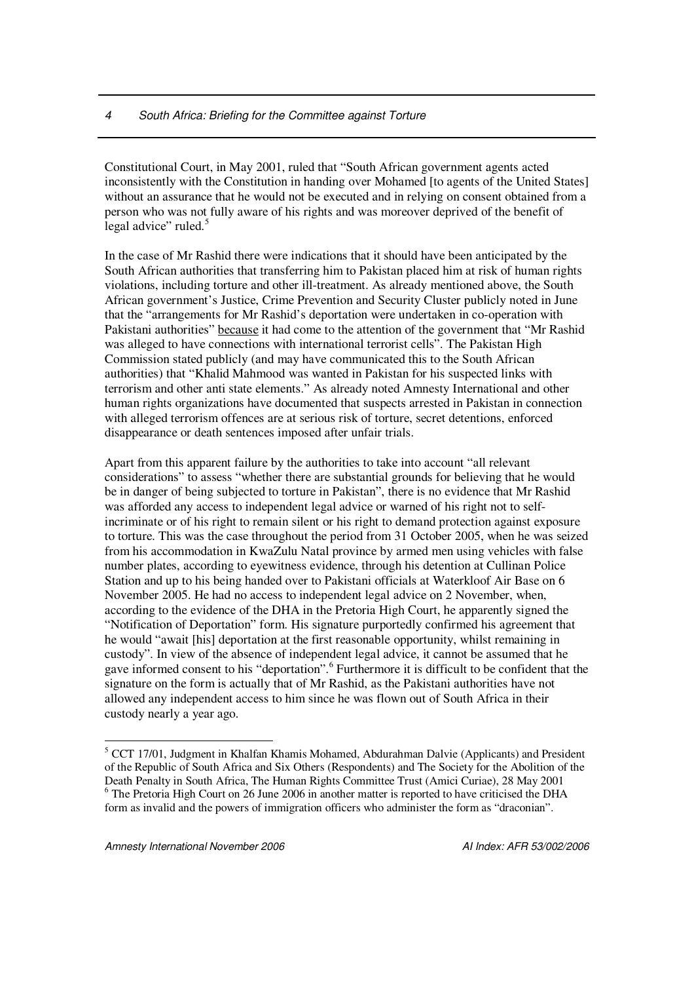Constitutional Court, in May 2001, ruled that "South African government agents acted inconsistently with the Constitution in handing over Mohamed [to agents of the United States] without an assurance that he would not be executed and in relying on consent obtained from a person who was not fully aware of his rights and was moreover deprived of the benefit of legal advice" ruled.<sup>5</sup>

In the case of Mr Rashid there were indications that it should have been anticipated by the South African authorities that transferring him to Pakistan placed him at risk of human rights violations, including torture and other ill-treatment. As already mentioned above, the South African government's Justice, Crime Prevention and Security Cluster publicly noted in June that the "arrangements for Mr Rashid's deportation were undertaken in co-operation with Pakistani authorities" because it had come to the attention of the government that "Mr Rashid was alleged to have connections with international terrorist cells". The Pakistan High Commission stated publicly (and may have communicated this to the South African authorities) that "Khalid Mahmood was wanted in Pakistan for his suspected links with terrorism and other anti state elements." As already noted Amnesty International and other human rights organizations have documented that suspects arrested in Pakistan in connection with alleged terrorism offences are at serious risk of torture, secret detentions, enforced disappearance or death sentences imposed after unfair trials.

Apart from this apparent failure by the authorities to take into account "all relevant considerations" to assess "whether there are substantial grounds for believing that he would be in danger of being subjected to torture in Pakistan", there is no evidence that Mr Rashid was afforded any access to independent legal advice or warned of his right not to selfincriminate or of his right to remain silent or his right to demand protection against exposure to torture. This was the case throughout the period from 31 October 2005, when he was seized from his accommodation in KwaZulu Natal province by armed men using vehicles with false number plates, according to eyewitness evidence, through his detention at Cullinan Police Station and up to his being handed over to Pakistani officials at Waterkloof Air Base on 6 November 2005. He had no access to independent legal advice on 2 November, when, according to the evidence of the DHA in the Pretoria High Court, he apparently signed the "Notification of Deportation" form. His signature purportedly confirmed his agreement that he would "await [his] deportation at the first reasonable opportunity, whilst remaining in custody". In view of the absence of independent legal advice, it cannot be assumed that he gave informed consent to his "deportation". 6 Furthermore it is difficult to be confident that the signature on the form is actually that of Mr Rashid, as the Pakistani authorities have not allowed any independent access to him since he was flown out of South Africa in their custody nearly a year ago.

<sup>&</sup>lt;sup>5</sup> CCT 17/01, Judgment in Khalfan Khamis Mohamed, Abdurahman Dalvie (Applicants) and President of the Republic of South Africa and Six Others (Respondents) and The Society for the Abolition of the Death Penalty in South Africa, The Human Rights Committee Trust (Amici Curiae), 28 May 2001 <sup>6</sup> The Pretoria High Court on 26 June 2006 in another matter is reported to have criticised the DHA form as invalid and the powers of immigration officers who administer the form as "draconian".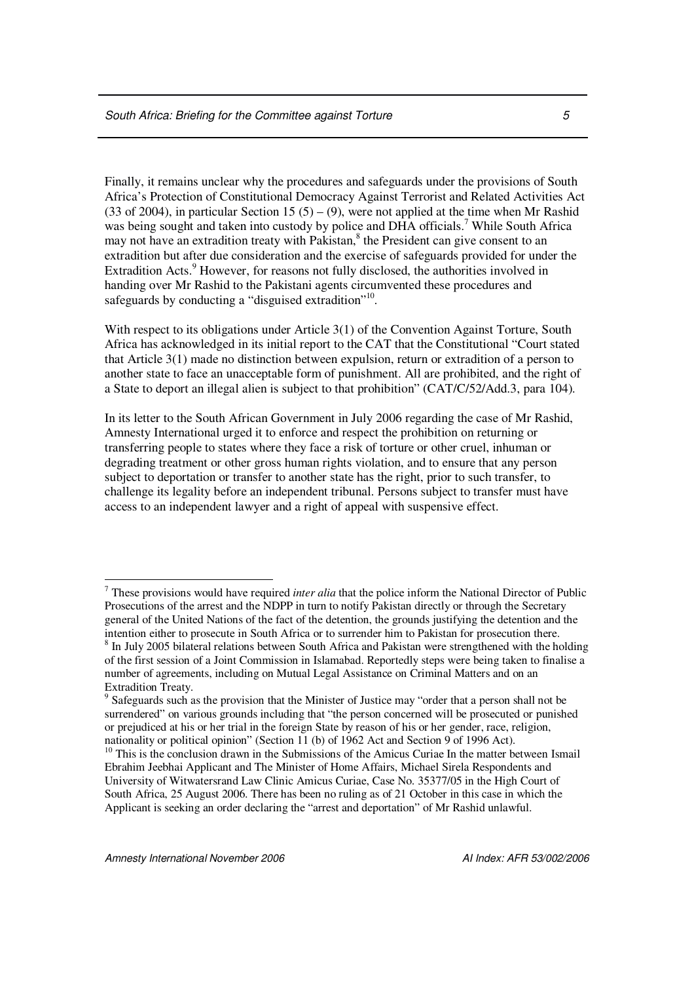Finally, it remains unclear why the procedures and safeguards under the provisions of South Africa's Protection of Constitutional Democracy Against Terrorist and Related Activities Act (33 of 2004), in particular Section 15 (5) – (9), were not applied at the time when Mr Rashid was being sought and taken into custody by police and DHA officials.<sup>7</sup> While South Africa may not have an extradition treaty with Pakistan,<sup>8</sup> the President can give consent to an extradition but after due consideration and the exercise of safeguards provided for under the Extradition Acts.<sup>9</sup> However, for reasons not fully disclosed, the authorities involved in handing over Mr Rashid to the Pakistani agents circumvented these procedures and safeguards by conducting a "disguised extradition"<sup>10</sup>.

With respect to its obligations under Article 3(1) of the Convention Against Torture, South Africa has acknowledged in its initial report to the CAT that the Constitutional "Court stated that Article 3(1) made no distinction between expulsion, return or extradition of a person to another state to face an unacceptable form of punishment. All are prohibited, and the right of a State to deport an illegal alien is subject to that prohibition" (CAT/C/52/Add.3, para 104).

In its letter to the South African Government in July 2006 regarding the case of Mr Rashid, Amnesty International urged it to enforce and respect the prohibition on returning or transferring people to states where they face a risk of torture or other cruel, inhuman or degrading treatment or other gross human rights violation, and to ensure that any person subject to deportation or transfer to another state has the right, prior to such transfer, to challenge its legality before an independent tribunal. Persons subject to transfer must have access to an independent lawyer and a right of appeal with suspensive effect.

<sup>7</sup> These provisions would have required *inter alia* that the police inform the National Director of Public Prosecutions of the arrest and the NDPP in turn to notify Pakistan directly or through the Secretary general of the United Nations of the fact of the detention, the grounds justifying the detention and the intention either to prosecute in South Africa or to surrender him to Pakistan for prosecution there.

<sup>&</sup>lt;sup>8</sup> In July 2005 bilateral relations between South Africa and Pakistan were strengthened with the holding of the first session of a Joint Commission in Islamabad. Reportedly steps were being taken to finalise a number of agreements, including on Mutual Legal Assistance on Criminal Matters and on an Extradition Treaty.

<sup>&</sup>lt;sup>9</sup> Safeguards such as the provision that the Minister of Justice may "order that a person shall not be surrendered" on various grounds including that "the person concerned will be prosecuted or punished or prejudiced at his or her trial in the foreign State by reason of his or her gender, race, religion, nationality or political opinion" (Section 11 (b) of 1962 Act and Section 9 of 1996 Act).

<sup>&</sup>lt;sup>10</sup> This is the conclusion drawn in the Submissions of the Amicus Curiae In the matter between Ismail Ebrahim Jeebhai Applicant and The Minister of Home Affairs, Michael Sirela Respondents and University of Witwatersrand Law Clinic Amicus Curiae, Case No. 35377/05 in the High Court of South Africa, 25 August 2006. There has been no ruling as of 21 October in this case in which the Applicant is seeking an order declaring the "arrest and deportation" of Mr Rashid unlawful.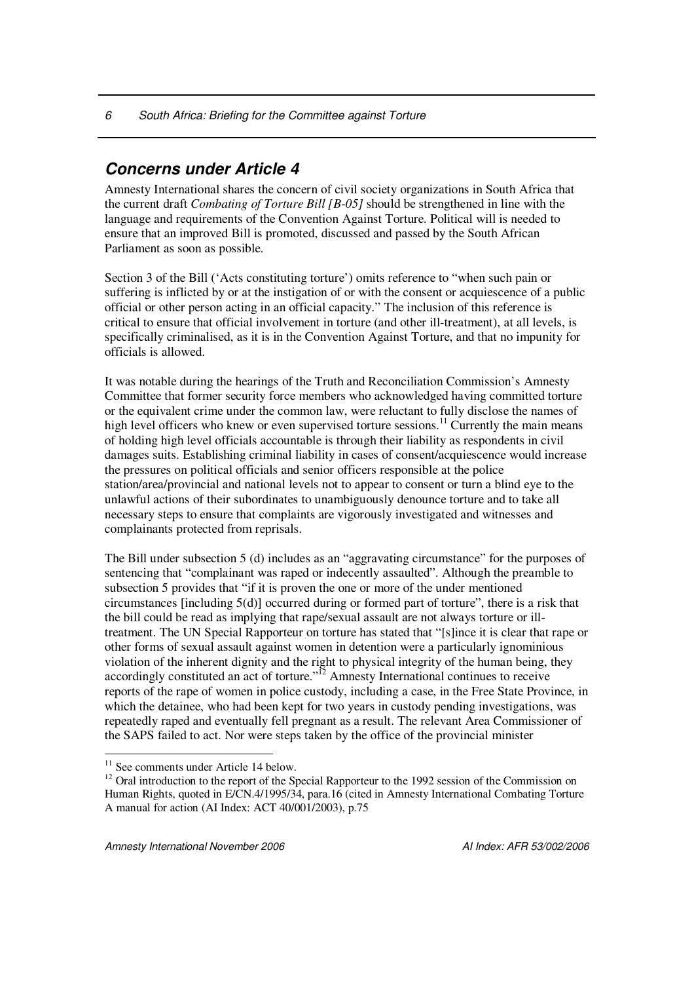# *Concerns under Article 4*

Amnesty International shares the concern of civil society organizations in South Africa that the current draft *Combating of Torture Bill [B-05]* should be strengthened in line with the language and requirements of the Convention Against Torture. Political will is needed to ensure that an improved Bill is promoted, discussed and passed by the South African Parliament as soon as possible.

Section 3 of the Bill ('Acts constituting torture') omits reference to "when such pain or suffering is inflicted by or at the instigation of or with the consent or acquiescence of a public official or other person acting in an official capacity." The inclusion of this reference is critical to ensure that official involvement in torture (and other ill-treatment), at all levels, is specifically criminalised, as it is in the Convention Against Torture, and that no impunity for officials is allowed.

It was notable during the hearings of the Truth and Reconciliation Commission's Amnesty Committee that former security force members who acknowledged having committed torture or the equivalent crime under the common law, were reluctant to fully disclose the names of high level officers who knew or even supervised torture sessions.<sup>11</sup> Currently the main means of holding high level officials accountable is through their liability as respondents in civil damages suits. Establishing criminal liability in cases of consent/acquiescence would increase the pressures on political officials and senior officers responsible at the police station/area/provincial and national levels not to appear to consent or turn a blind eye to the unlawful actions of their subordinates to unambiguously denounce torture and to take all necessary steps to ensure that complaints are vigorously investigated and witnesses and complainants protected from reprisals.

The Bill under subsection 5 (d) includes as an "aggravating circumstance" for the purposes of sentencing that "complainant was raped or indecently assaulted". Although the preamble to subsection 5 provides that "if it is proven the one or more of the under mentioned circumstances [including 5(d)] occurred during or formed part of torture", there is a risk that the bill could be read as implying that rape/sexual assault are not always torture or illtreatment. The UN Special Rapporteur on torture has stated that "[s]ince it is clear that rape or other forms of sexual assault against women in detention were a particularly ignominious violation of the inherent dignity and the right to physical integrity of the human being, they accordingly constituted an act of torture."<sup>12</sup> Amnesty International continues to receive reports of the rape of women in police custody, including a case, in the Free State Province, in which the detainee, who had been kept for two years in custody pending investigations, was repeatedly raped and eventually fell pregnant as a result. The relevant Area Commissioner of the SAPS failed to act. Nor were steps taken by the office of the provincial minister

<sup>&</sup>lt;sup>11</sup> See comments under Article 14 below.

<sup>&</sup>lt;sup>12</sup> Oral introduction to the report of the Special Rapporteur to the 1992 session of the Commission on Human Rights, quoted in E/CN.4/1995/34, para.16 (cited in Amnesty International Combating Torture A manual for action (AI Index: ACT 40/001/2003), p.75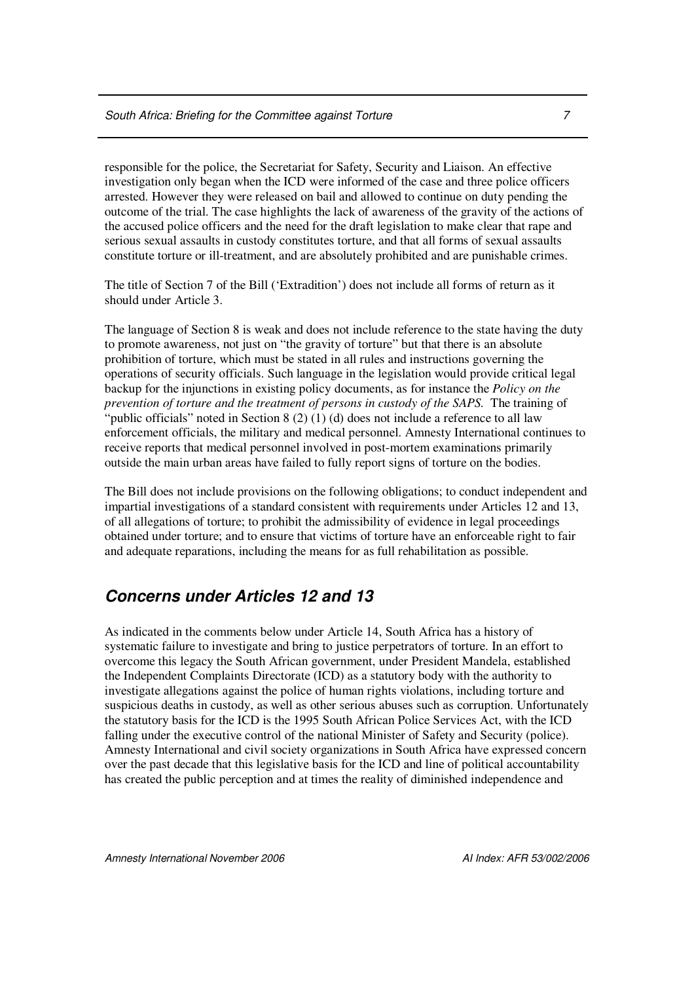responsible for the police, the Secretariat for Safety, Security and Liaison. An effective investigation only began when the ICD were informed of the case and three police officers arrested. However they were released on bail and allowed to continue on duty pending the outcome of the trial. The case highlights the lack of awareness of the gravity of the actions of the accused police officers and the need for the draft legislation to make clear that rape and serious sexual assaults in custody constitutes torture, and that all forms of sexual assaults constitute torture or ill-treatment, and are absolutely prohibited and are punishable crimes.

The title of Section 7 of the Bill ('Extradition') does not include all forms of return as it should under Article 3.

The language of Section 8 is weak and does not include reference to the state having the duty to promote awareness, not just on "the gravity of torture" but that there is an absolute prohibition of torture, which must be stated in all rules and instructions governing the operations of security officials. Such language in the legislation would provide critical legal backup for the injunctions in existing policy documents, as for instance the *Policy on the prevention of torture and the treatment of persons in custody of the SAPS.* The training of "public officials" noted in Section 8 (2) (1) (d) does not include a reference to all law enforcement officials, the military and medical personnel. Amnesty International continues to receive reports that medical personnel involved in post-mortem examinations primarily outside the main urban areas have failed to fully report signs of torture on the bodies.

The Bill does not include provisions on the following obligations; to conduct independent and impartial investigations of a standard consistent with requirements under Articles 12 and 13, of all allegations of torture; to prohibit the admissibility of evidence in legal proceedings obtained under torture; and to ensure that victims of torture have an enforceable right to fair and adequate reparations, including the means for as full rehabilitation as possible.

## *Concerns under Articles 12 and 13*

As indicated in the comments below under Article 14, South Africa has a history of systematic failure to investigate and bring to justice perpetrators of torture. In an effort to overcome this legacy the South African government, under President Mandela, established the Independent Complaints Directorate (ICD) as a statutory body with the authority to investigate allegations against the police of human rights violations, including torture and suspicious deaths in custody, as well as other serious abuses such as corruption. Unfortunately the statutory basis for the ICD is the 1995 South African Police Services Act, with the ICD falling under the executive control of the national Minister of Safety and Security (police). Amnesty International and civil society organizations in South Africa have expressed concern over the past decade that this legislative basis for the ICD and line of political accountability has created the public perception and at times the reality of diminished independence and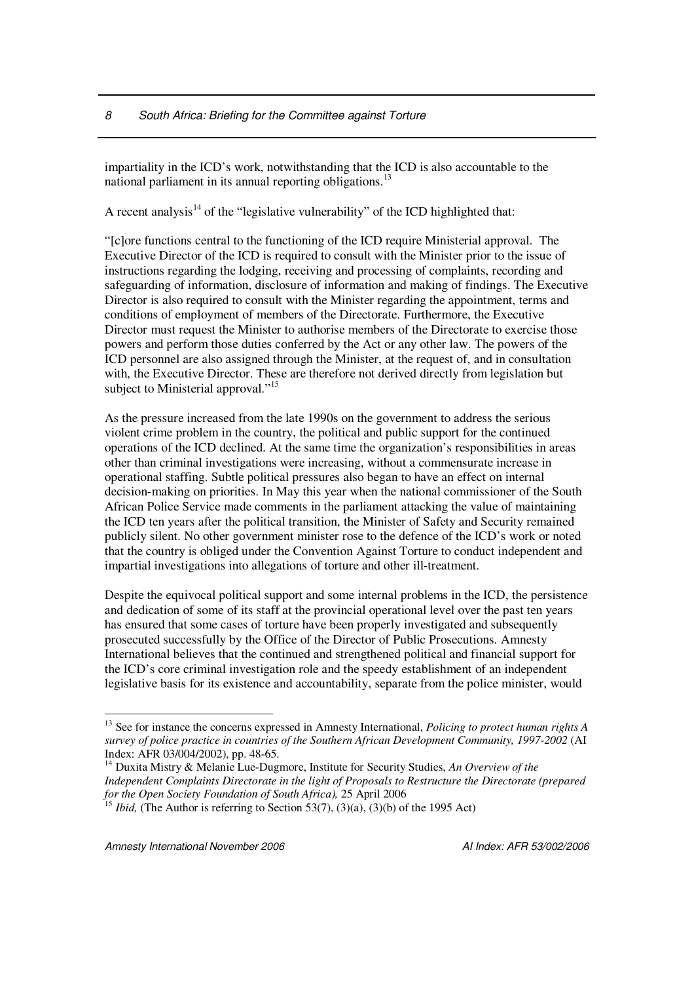impartiality in the ICD's work, notwithstanding that the ICD is also accountable to the national parliament in its annual reporting obligations.<sup>13</sup>

A recent analysis<sup>14</sup> of the "legislative vulnerability" of the ICD highlighted that:

"[c]ore functions central to the functioning of the ICD require Ministerial approval. The Executive Director of the ICD is required to consult with the Minister prior to the issue of instructions regarding the lodging, receiving and processing of complaints, recording and safeguarding of information, disclosure of information and making of findings. The Executive Director is also required to consult with the Minister regarding the appointment, terms and conditions of employment of members of the Directorate. Furthermore, the Executive Director must request the Minister to authorise members of the Directorate to exercise those powers and perform those duties conferred by the Act or any other law. The powers of the ICD personnel are also assigned through the Minister, at the request of, and in consultation with, the Executive Director. These are therefore not derived directly from legislation but subject to Ministerial approval."<sup>15</sup>

As the pressure increased from the late 1990s on the government to address the serious violent crime problem in the country, the political and public support for the continued operations of the ICD declined. At the same time the organization's responsibilities in areas other than criminal investigations were increasing, without a commensurate increase in operational staffing. Subtle political pressures also began to have an effect on internal decision-making on priorities. In May this year when the national commissioner of the South African Police Service made comments in the parliament attacking the value of maintaining the ICD ten years after the political transition, the Minister of Safety and Security remained publicly silent. No other government minister rose to the defence of the ICD's work or noted that the country is obliged under the Convention Against Torture to conduct independent and impartial investigations into allegations of torture and other ill-treatment.

Despite the equivocal political support and some internal problems in the ICD, the persistence and dedication of some of its staff at the provincial operational level over the past ten years has ensured that some cases of torture have been properly investigated and subsequently prosecuted successfully by the Office of the Director of Public Prosecutions. Amnesty International believes that the continued and strengthened political and financial support for the ICD's core criminal investigation role and the speedy establishment of an independent legislative basis for its existence and accountability, separate from the police minister, would

<sup>13</sup> See for instance the concerns expressed in Amnesty International, *Policing to protect human rights A survey of police practice in countries of the Southern African Development Community, 1997-2002* (AI Index: AFR 03/004/2002), pp. 48-65.

<sup>14</sup> Duxita Mistry & Melanie Lue-Dugmore, Institute for Security Studies, *An Overview of the Independent Complaints Directorate in the light of Proposals to Restructure the Directorate (prepared for the Open Society Foundation of South Africa),* 25 April 2006 15

*Ibid,* (The Author is referring to Section 53(7), (3)(a), (3)(b) of the 1995 Act)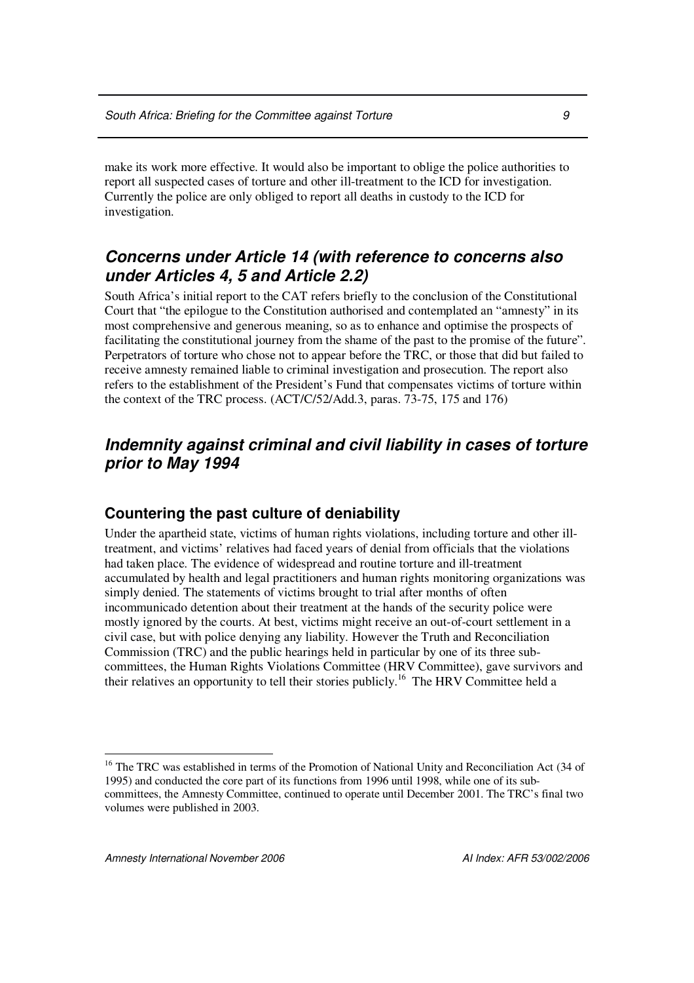make its work more effective. It would also be important to oblige the police authorities to report all suspected cases of torture and other ill-treatment to the ICD for investigation. Currently the police are only obliged to report all deaths in custody to the ICD for investigation.

## *Concerns under Article 14 (with reference to concerns also under Articles 4, 5 and Article 2.2)*

South Africa's initial report to the CAT refers briefly to the conclusion of the Constitutional Court that "the epilogue to the Constitution authorised and contemplated an "amnesty" in its most comprehensive and generous meaning, so as to enhance and optimise the prospects of facilitating the constitutional journey from the shame of the past to the promise of the future". Perpetrators of torture who chose not to appear before the TRC, or those that did but failed to receive amnesty remained liable to criminal investigation and prosecution. The report also refers to the establishment of the President's Fund that compensates victims of torture within the context of the TRC process. (ACT/C/52/Add.3, paras. 73-75, 175 and 176)

## *Indemnity against criminal and civil liability in cases of torture prior to May 1994*

### **Countering the past culture of deniability**

Under the apartheid state, victims of human rights violations, including torture and other illtreatment, and victims' relatives had faced years of denial from officials that the violations had taken place. The evidence of widespread and routine torture and ill-treatment accumulated by health and legal practitioners and human rights monitoring organizations was simply denied. The statements of victims brought to trial after months of often incommunicado detention about their treatment at the hands of the security police were mostly ignored by the courts. At best, victims might receive an out-of-court settlement in a civil case, but with police denying any liability. However the Truth and Reconciliation Commission (TRC) and the public hearings held in particular by one of its three subcommittees, the Human Rights Violations Committee (HRV Committee), gave survivors and their relatives an opportunity to tell their stories publicly.<sup>16</sup> The HRV Committee held a

<sup>&</sup>lt;sup>16</sup> The TRC was established in terms of the Promotion of National Unity and Reconciliation Act (34 of 1995) and conducted the core part of its functions from 1996 until 1998, while one of its subcommittees, the Amnesty Committee, continued to operate until December 2001. The TRC's final two volumes were published in 2003.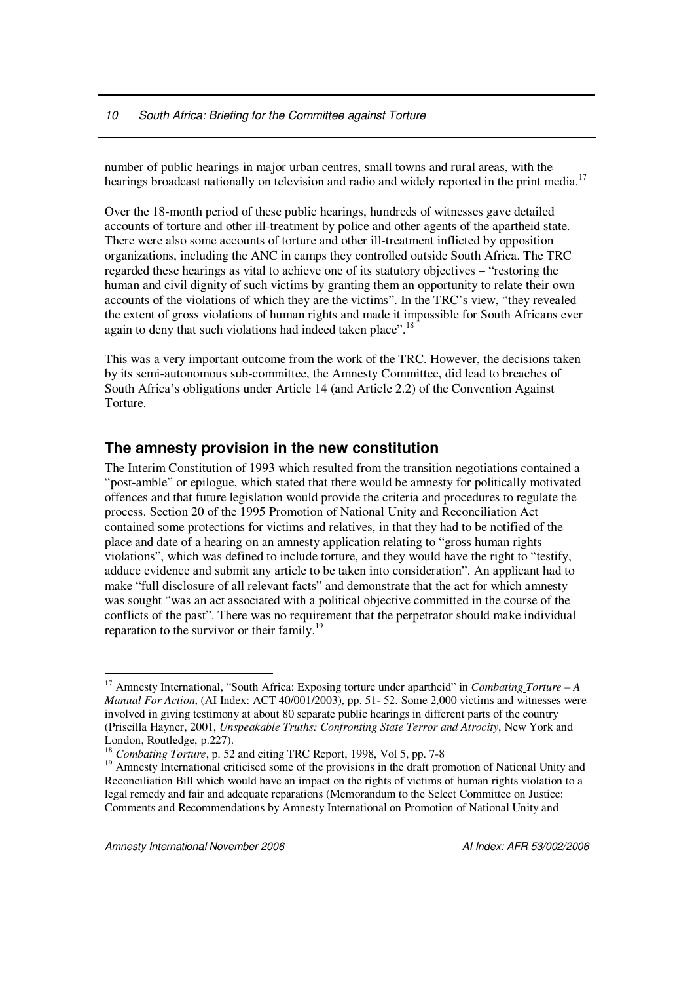#### *10 South Africa: Briefing for the Committee against Torture*

number of public hearings in major urban centres, small towns and rural areas, with the hearings broadcast nationally on television and radio and widely reported in the print media.<sup>17</sup>

Over the 18-month period of these public hearings, hundreds of witnesses gave detailed accounts of torture and other ill-treatment by police and other agents of the apartheid state. There were also some accounts of torture and other ill-treatment inflicted by opposition organizations, including the ANC in camps they controlled outside South Africa. The TRC regarded these hearings as vital to achieve one of its statutory objectives – "restoring the human and civil dignity of such victims by granting them an opportunity to relate their own accounts of the violations of which they are the victims". In the TRC's view, "they revealed the extent of gross violations of human rights and made it impossible for South Africans ever again to deny that such violations had indeed taken place".<sup>18</sup>

This was a very important outcome from the work of the TRC. However, the decisions taken by its semi-autonomous sub-committee, the Amnesty Committee, did lead to breaches of South Africa's obligations under Article 14 (and Article 2.2) of the Convention Against Torture.

#### **The amnesty provision in the new constitution**

The Interim Constitution of 1993 which resulted from the transition negotiations contained a "post-amble" or epilogue, which stated that there would be amnesty for politically motivated offences and that future legislation would provide the criteria and procedures to regulate the process. Section 20 of the 1995 Promotion of National Unity and Reconciliation Act contained some protections for victims and relatives, in that they had to be notified of the place and date of a hearing on an amnesty application relating to "gross human rights violations", which was defined to include torture, and they would have the right to "testify, adduce evidence and submit any article to be taken into consideration". An applicant had to make "full disclosure of all relevant facts" and demonstrate that the act for which amnesty was sought "was an act associated with a political objective committed in the course of the conflicts of the past". There was no requirement that the perpetrator should make individual reparation to the survivor or their family.<sup>19</sup>

<sup>17</sup> Amnesty International, "South Africa: Exposing torture under apartheid" in *Combating Torture – A Manual For Action*, (AI Index: ACT 40/001/2003), pp. 51- 52. Some 2,000 victims and witnesses were involved in giving testimony at about 80 separate public hearings in different parts of the country (Priscilla Hayner, 2001, *Unspeakable Truths: Confronting State Terror and Atrocity*, New York and London, Routledge, p.227).

<sup>18</sup> *Combating Torture*, p. 52 and citing TRC Report, 1998, Vol 5, pp. 7-8

<sup>&</sup>lt;sup>19</sup> Amnesty International criticised some of the provisions in the draft promotion of National Unity and Reconciliation Bill which would have an impact on the rights of victims of human rights violation to a legal remedy and fair and adequate reparations (Memorandum to the Select Committee on Justice: Comments and Recommendations by Amnesty International on Promotion of National Unity and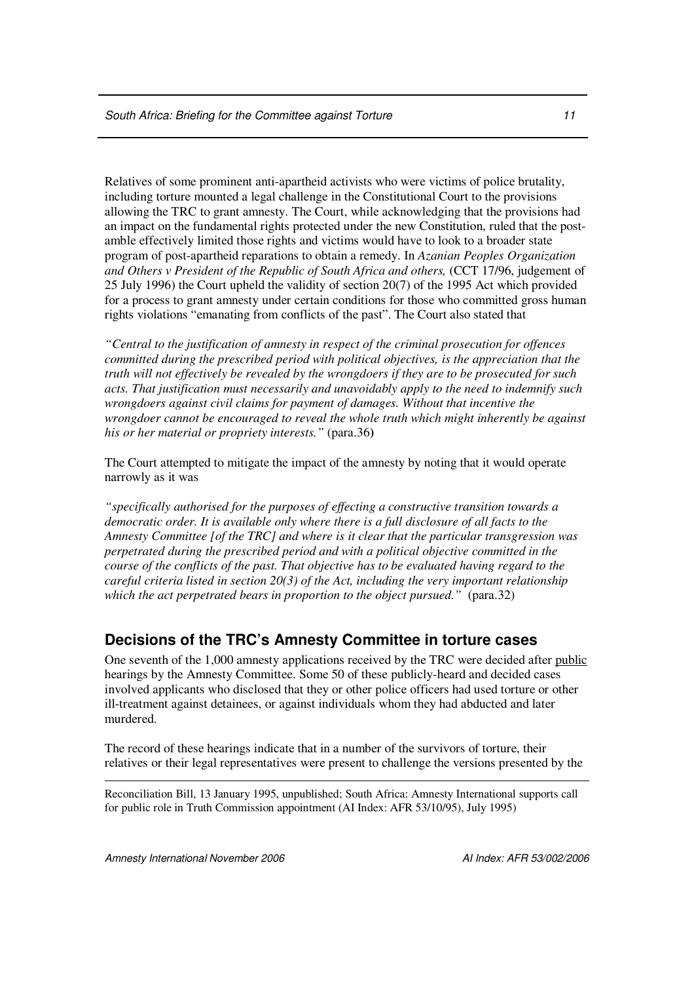Relatives of some prominent anti-apartheid activists who were victims of police brutality, including torture mounted a legal challenge in the Constitutional Court to the provisions allowing the TRC to grant amnesty. The Court, while acknowledging that the provisions had an impact on the fundamental rights protected under the new Constitution, ruled that the postamble effectively limited those rights and victims would have to look to a broader state program of post-apartheid reparations to obtain a remedy. In *Azanian Peoples Organization and Others v President of the Republic of South Africa and others,* (CCT 17/96, judgement of 25 July 1996) the Court upheld the validity of section 20(7) of the 1995 Act which provided for a process to grant amnesty under certain conditions for those who committed gross human rights violations "emanating from conflicts of the past". The Court also stated that

*"Central to the justification of amnesty in respect of the criminal prosecution for offences committed during the prescribed period with political objectives, is the appreciation that the truth will not effectively be revealed by the wrongdoers if they are to be prosecuted for such acts. That justification must necessarily and unavoidably apply to the need to indemnify such wrongdoers against civil claims for payment of damages. Without that incentive the wrongdoer cannot be encouraged to reveal the whole truth which might inherently be against his or her material or propriety interests."* (para.36**)**

The Court attempted to mitigate the impact of the amnesty by noting that it would operate narrowly as it was

*"specifically authorised for the purposes of effecting a constructive transition towards a democratic order. It is available only where there is a full disclosure of all facts to the Amnesty Committee [of the TRC] and where is it clear that the particular transgression was perpetrated during the prescribed period and with a political objective committed in the course of the conflicts of the past. That objective has to be evaluated having regard to the careful criteria listed in section 20(3) of the Act, including the very important relationship which the act perpetrated bears in proportion to the object pursued."* (para.32)

### **Decisions of the TRC's Amnesty Committee in torture cases**

One seventh of the 1,000 amnesty applications received by the TRC were decided after public hearings by the Amnesty Committee. Some 50 of these publicly-heard and decided cases involved applicants who disclosed that they or other police officers had used torture or other ill-treatment against detainees, or against individuals whom they had abducted and later murdered.

The record of these hearings indicate that in a number of the survivors of torture, their relatives or their legal representatives were present to challenge the versions presented by the

Reconciliation Bill, 13 January 1995, unpublished; South Africa: Amnesty International supports call for public role in Truth Commission appointment (AI Index: AFR 53/10/95), July 1995)

*Amnesty International November 2006 AI Index: AFR 53/002/2006*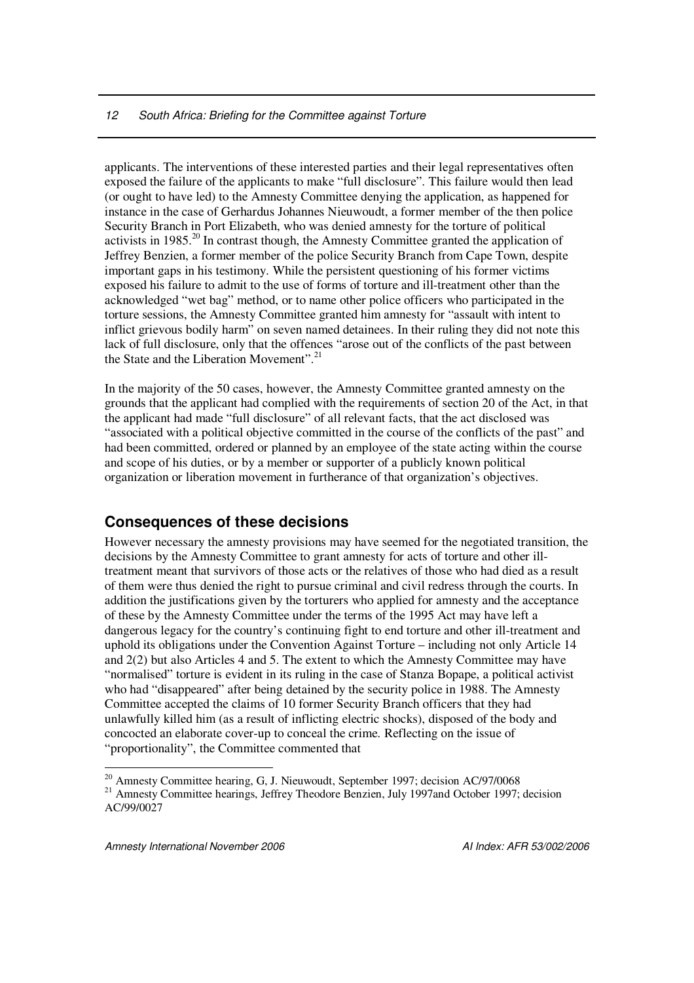#### *12 South Africa: Briefing for the Committee against Torture*

applicants. The interventions of these interested parties and their legal representatives often exposed the failure of the applicants to make "full disclosure". This failure would then lead (or ought to have led) to the Amnesty Committee denying the application, as happened for instance in the case of Gerhardus Johannes Nieuwoudt, a former member of the then police Security Branch in Port Elizabeth, who was denied amnesty for the torture of political activists in 1985.<sup>20</sup> In contrast though, the Amnesty Committee granted the application of Jeffrey Benzien, a former member of the police Security Branch from Cape Town, despite important gaps in his testimony. While the persistent questioning of his former victims exposed his failure to admit to the use of forms of torture and ill-treatment other than the acknowledged "wet bag" method, or to name other police officers who participated in the torture sessions, the Amnesty Committee granted him amnesty for "assault with intent to inflict grievous bodily harm" on seven named detainees. In their ruling they did not note this lack of full disclosure, only that the offences "arose out of the conflicts of the past between the State and the Liberation Movement".<sup>21</sup>

In the majority of the 50 cases, however, the Amnesty Committee granted amnesty on the grounds that the applicant had complied with the requirements of section 20 of the Act, in that the applicant had made "full disclosure" of all relevant facts, that the act disclosed was "associated with a political objective committed in the course of the conflicts of the past" and had been committed, ordered or planned by an employee of the state acting within the course and scope of his duties, or by a member or supporter of a publicly known political organization or liberation movement in furtherance of that organization's objectives.

## **Consequences of these decisions**

However necessary the amnesty provisions may have seemed for the negotiated transition, the decisions by the Amnesty Committee to grant amnesty for acts of torture and other illtreatment meant that survivors of those acts or the relatives of those who had died as a result of them were thus denied the right to pursue criminal and civil redress through the courts. In addition the justifications given by the torturers who applied for amnesty and the acceptance of these by the Amnesty Committee under the terms of the 1995 Act may have left a dangerous legacy for the country's continuing fight to end torture and other ill-treatment and uphold its obligations under the Convention Against Torture – including not only Article 14 and 2(2) but also Articles 4 and 5. The extent to which the Amnesty Committee may have "normalised" torture is evident in its ruling in the case of Stanza Bopape, a political activist who had "disappeared" after being detained by the security police in 1988. The Amnesty Committee accepted the claims of 10 former Security Branch officers that they had unlawfully killed him (as a result of inflicting electric shocks), disposed of the body and concocted an elaborate cover-up to conceal the crime. Reflecting on the issue of "proportionality", the Committee commented that

<sup>&</sup>lt;sup>20</sup> Amnesty Committee hearing, G, J. Nieuwoudt, September 1997; decision AC/97/0068

<sup>&</sup>lt;sup>21</sup> Amnesty Committee hearings, Jeffrey Theodore Benzien, July 1997and October 1997; decision AC/99/0027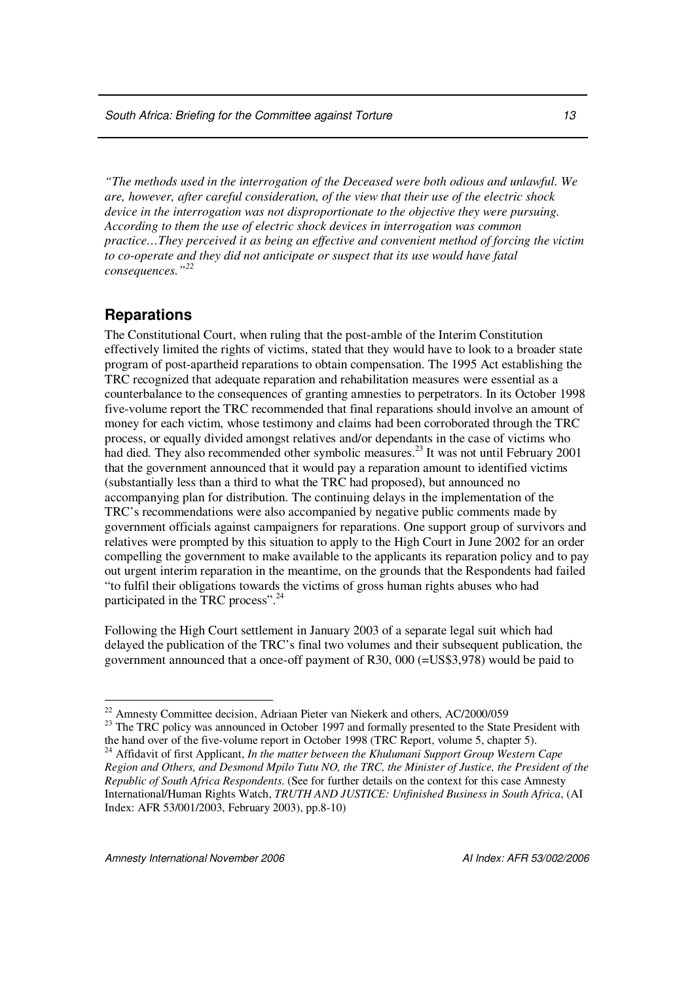*"The methods used in the interrogation of the Deceased were both odious and unlawful. We are, however, after careful consideration, of the view that their use of the electric shock device in the interrogation was not disproportionate to the objective they were pursuing. According to them the use of electric shock devices in interrogation was common practice…They perceived it as being an effective and convenient method of forcing the victim to co-operate and they did not anticipate or suspect that its use would have fatal consequences." 22*

#### **Reparations**

The Constitutional Court, when ruling that the post-amble of the Interim Constitution effectively limited the rights of victims, stated that they would have to look to a broader state program of post-apartheid reparations to obtain compensation. The 1995 Act establishing the TRC recognized that adequate reparation and rehabilitation measures were essential as a counterbalance to the consequences of granting amnesties to perpetrators. In its October 1998 five-volume report the TRC recommended that final reparations should involve an amount of money for each victim, whose testimony and claims had been corroborated through the TRC process, or equally divided amongst relatives and/or dependants in the case of victims who had died. They also recommended other symbolic measures.<sup>23</sup> It was not until February 2001 that the government announced that it would pay a reparation amount to identified victims (substantially less than a third to what the TRC had proposed), but announced no accompanying plan for distribution. The continuing delays in the implementation of the TRC's recommendations were also accompanied by negative public comments made by government officials against campaigners for reparations. One support group of survivors and relatives were prompted by this situation to apply to the High Court in June 2002 for an order compelling the government to make available to the applicants its reparation policy and to pay out urgent interim reparation in the meantime, on the grounds that the Respondents had failed "to fulfil their obligations towards the victims of gross human rights abuses who had participated in the TRC process".<sup>24</sup>

Following the High Court settlement in January 2003 of a separate legal suit which had delayed the publication of the TRC's final two volumes and their subsequent publication, the government announced that a once-off payment of R30, 000 (=US\$3,978) would be paid to

*Amnesty International November 2006 AI Index: AFR 53/002/2006*

<sup>&</sup>lt;sup>22</sup> Amnesty Committee decision, Adriaan Pieter van Niekerk and others, AC/2000/059

<sup>&</sup>lt;sup>23</sup> The TRC policy was announced in October 1997 and formally presented to the State President with the hand over of the five-volume report in October 1998 (TRC Report, volume 5, chapter 5).

<sup>24</sup> Affidavit of first Applicant, *In the matter between the Khulumani Support Group Western Cape* Region and Others, and Desmond Mpilo Tutu NO, the TRC, the Minister of Justice, the President of the *Republic of South Africa Respondents*. (See for further details on the context for this case Amnesty International/Human Rights Watch, *TRUTH AND JUSTICE: Unfinished Business in South Africa*, (AI Index: AFR 53/001/2003, February 2003), pp.8-10)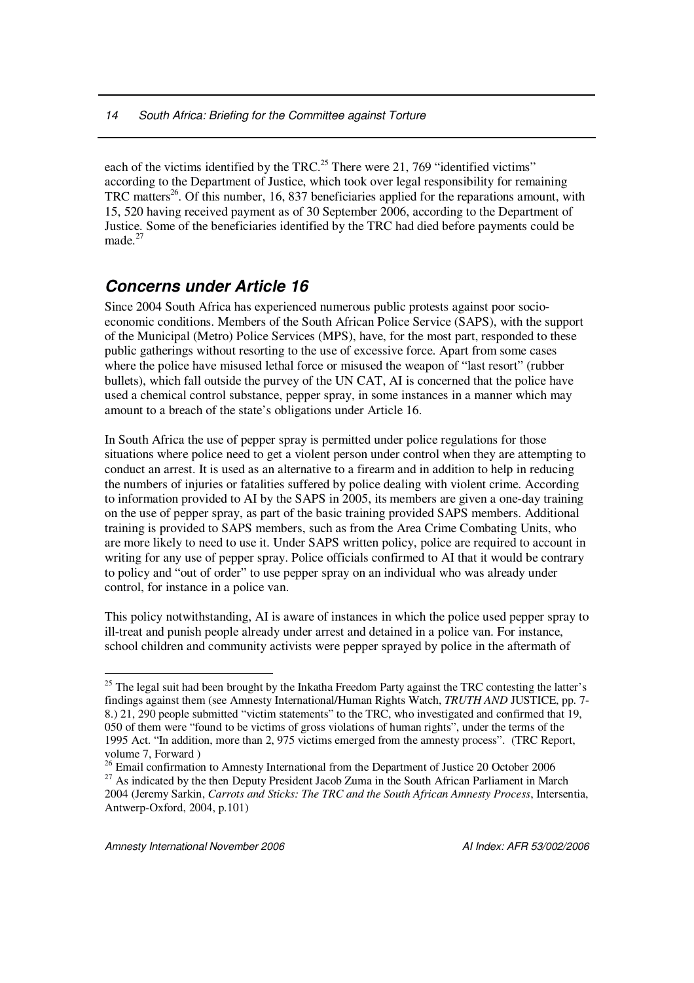each of the victims identified by the TRC.<sup>25</sup> There were 21, 769 "identified victims" according to the Department of Justice, which took over legal responsibility for remaining TRC matters<sup>26</sup>. Of this number, 16, 837 beneficiaries applied for the reparations amount, with 15, 520 having received payment as of 30 September 2006, according to the Department of Justice. Some of the beneficiaries identified by the TRC had died before payments could be made.<sup>27</sup>

# *Concerns under Article 16*

Since 2004 South Africa has experienced numerous public protests against poor socioeconomic conditions. Members of the South African Police Service (SAPS), with the support of the Municipal (Metro) Police Services (MPS), have, for the most part, responded to these public gatherings without resorting to the use of excessive force. Apart from some cases where the police have misused lethal force or misused the weapon of "last resort" (rubber bullets), which fall outside the purvey of the UN CAT, AI is concerned that the police have used a chemical control substance, pepper spray, in some instances in a manner which may amount to a breach of the state's obligations under Article 16.

In South Africa the use of pepper spray is permitted under police regulations for those situations where police need to get a violent person under control when they are attempting to conduct an arrest. It is used as an alternative to a firearm and in addition to help in reducing the numbers of injuries or fatalities suffered by police dealing with violent crime. According to information provided to AI by the SAPS in 2005, its members are given a one-day training on the use of pepper spray, as part of the basic training provided SAPS members. Additional training is provided to SAPS members, such as from the Area Crime Combating Units, who are more likely to need to use it. Under SAPS written policy, police are required to account in writing for any use of pepper spray. Police officials confirmed to AI that it would be contrary to policy and "out of order" to use pepper spray on an individual who was already under control, for instance in a police van.

This policy notwithstanding, AI is aware of instances in which the police used pepper spray to ill-treat and punish people already under arrest and detained in a police van. For instance, school children and community activists were pepper sprayed by police in the aftermath of

 $25$  The legal suit had been brought by the Inkatha Freedom Party against the TRC contesting the latter's findings against them (see Amnesty International/Human Rights Watch, *TRUTH AND* JUSTICE, pp. 7- 8.) 21, 290 people submitted "victim statements" to the TRC, who investigated and confirmed that 19, 050 of them were "found to be victims of gross violations of human rights", under the terms of the 1995 Act. "In addition, more than 2, 975 victims emerged from the amnesty process". (TRC Report, volume 7, Forward )

<sup>&</sup>lt;sup>26</sup> Email confirmation to Amnesty International from the Department of Justice 20 October 2006 <sup>27</sup> As indicated by the then Deputy President Jacob Zuma in the South African Parliament in March 2004 (Jeremy Sarkin, *Carrots and Sticks: The TRC and the South African Amnesty Process*, Intersentia, Antwerp-Oxford, 2004, p.101)